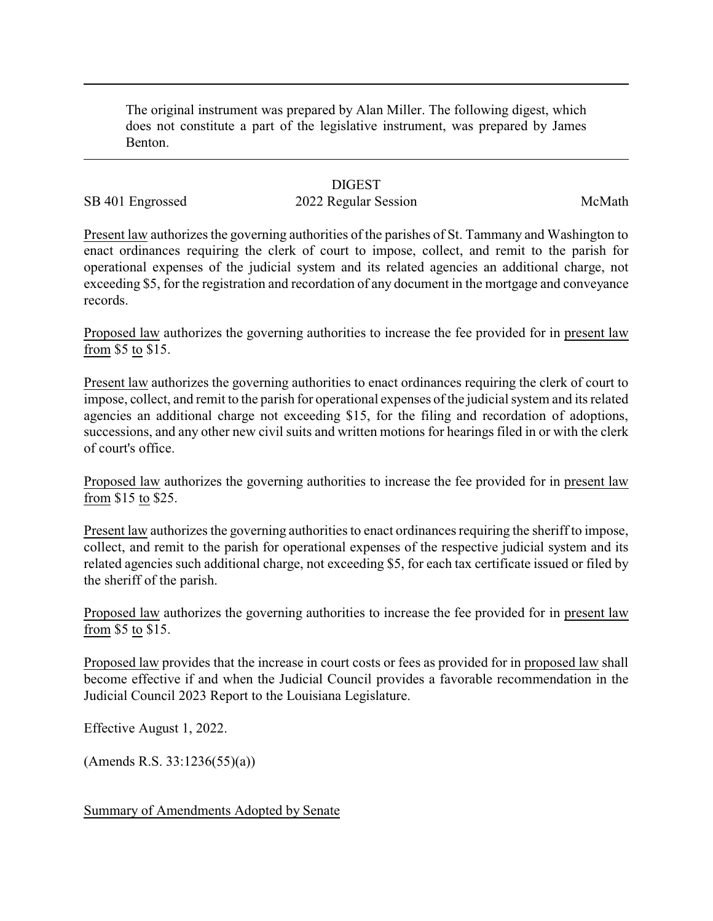The original instrument was prepared by Alan Miller. The following digest, which does not constitute a part of the legislative instrument, was prepared by James Benton.

## **DIGEST**

## SB 401 Engrossed 2022 Regular Session McMath

Present law authorizes the governing authorities of the parishes of St. Tammany and Washington to enact ordinances requiring the clerk of court to impose, collect, and remit to the parish for operational expenses of the judicial system and its related agencies an additional charge, not exceeding \$5, for the registration and recordation of any document in the mortgage and conveyance records.

Proposed law authorizes the governing authorities to increase the fee provided for in present law from \$5 to \$15.

Present law authorizes the governing authorities to enact ordinances requiring the clerk of court to impose, collect, and remit to the parish for operational expenses of the judicial system and its related agencies an additional charge not exceeding \$15, for the filing and recordation of adoptions, successions, and any other new civil suits and written motions for hearings filed in or with the clerk of court's office.

Proposed law authorizes the governing authorities to increase the fee provided for in present law from \$15 to \$25.

Present law authorizes the governing authorities to enact ordinances requiring the sheriff to impose, collect, and remit to the parish for operational expenses of the respective judicial system and its related agencies such additional charge, not exceeding \$5, for each tax certificate issued or filed by the sheriff of the parish.

Proposed law authorizes the governing authorities to increase the fee provided for in present law from \$5 to \$15.

Proposed law provides that the increase in court costs or fees as provided for in proposed law shall become effective if and when the Judicial Council provides a favorable recommendation in the Judicial Council 2023 Report to the Louisiana Legislature.

Effective August 1, 2022.

(Amends R.S. 33:1236(55)(a))

Summary of Amendments Adopted by Senate